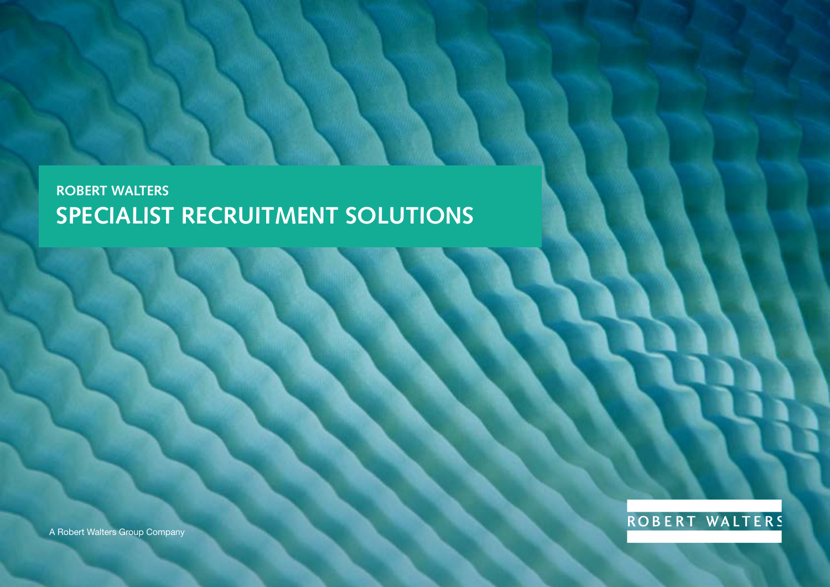A Robert Walters Group Company



### **ROBERT WALTERS SPECIALIST RECRUITMENT SOLUTIONS**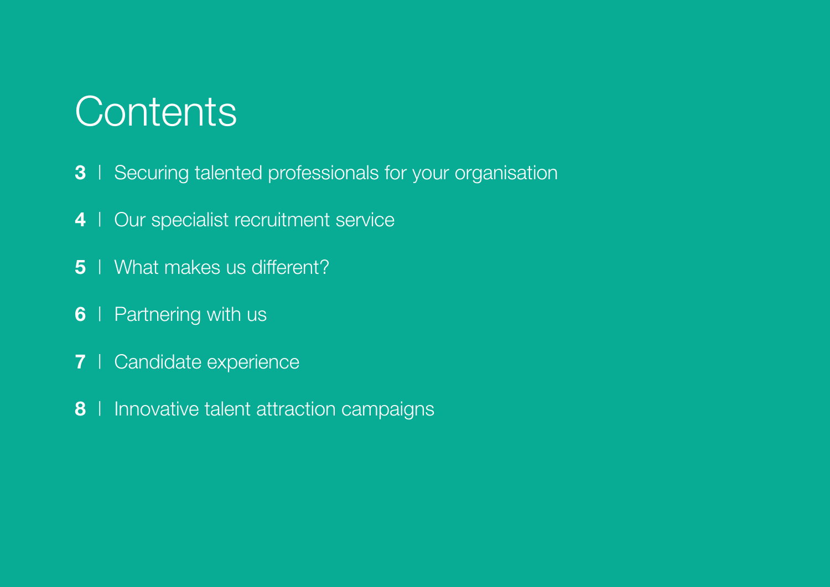## **Contents**

- | [Securing talented professionals for your organisation](#page-2-0)
- | [Our specialist recruitment service](#page-3-0)
- | [What makes us different?](#page-4-0)
- | Partnering with us
- | [Candidate experience](#page-6-0)
- | [Innovative talent attraction campaigns](#page-7-0)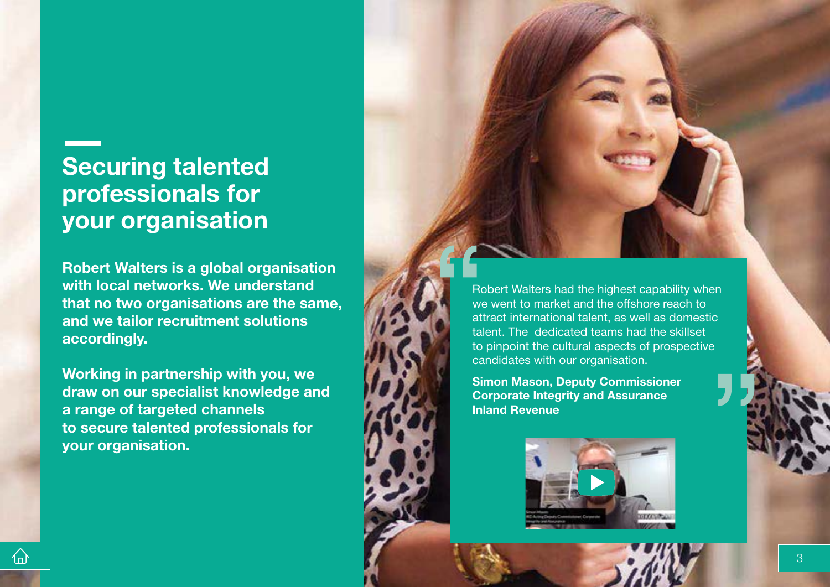## <span id="page-2-0"></span>**Securing talented professionals for your organisation**

**Robert Walters is a global organisation with local networks. We understand that no two organisations are the same, and we tailor recruitment solutions accordingly.**

**Working in partnership with you, we draw on our specialist knowledge and a range of targeted channels to secure talented professionals for your organisation.**

 $\bigcap$ 

Robert Walters had the highest capability when we went to market and the offshore reach to attract international talent, as well as domestic talent. The dedicated teams had the skillset to pinpoint the cultural aspects of prospective candidates with our organisation.

**Simon Mason, Deputy Commissioner Corporate Integrity and Assurance Inland Revenue** 

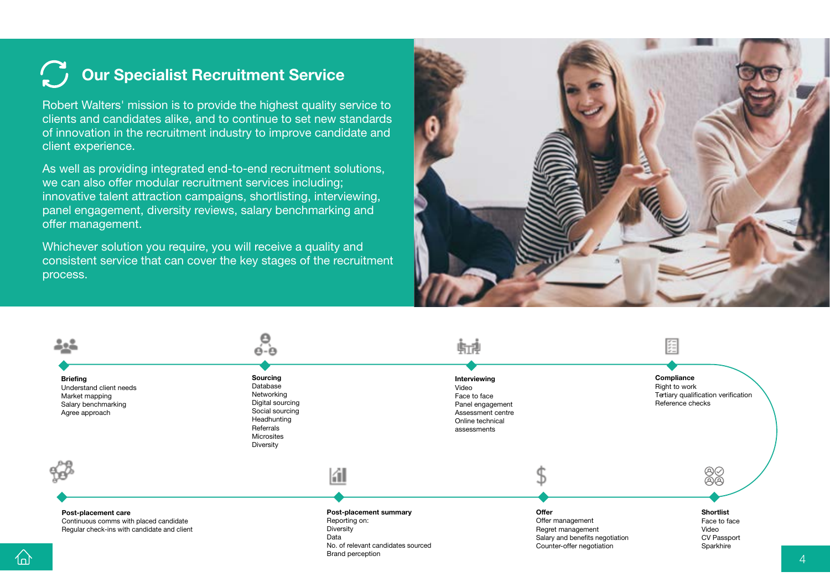## <span id="page-3-0"></span>**C** Our Specialist Recruitment Service

Robert Walters' mission is to provide the highest quality service to clients and candidates alike, and to continue to set new standards of innovation in the recruitment industry to improve candidate and client experience.

As well as providing integrated end-to-end recruitment solutions, we can also offer modular recruitment services including; innovative talent attraction campaigns, shortlisting, interviewing, panel engagement, diversity reviews, salary benchmarking and offer management.

Whichever solution you require, you will receive a quality and consistent service that can cover the key stages of the recruitment process.

 $\left\langle \right\rangle$ 



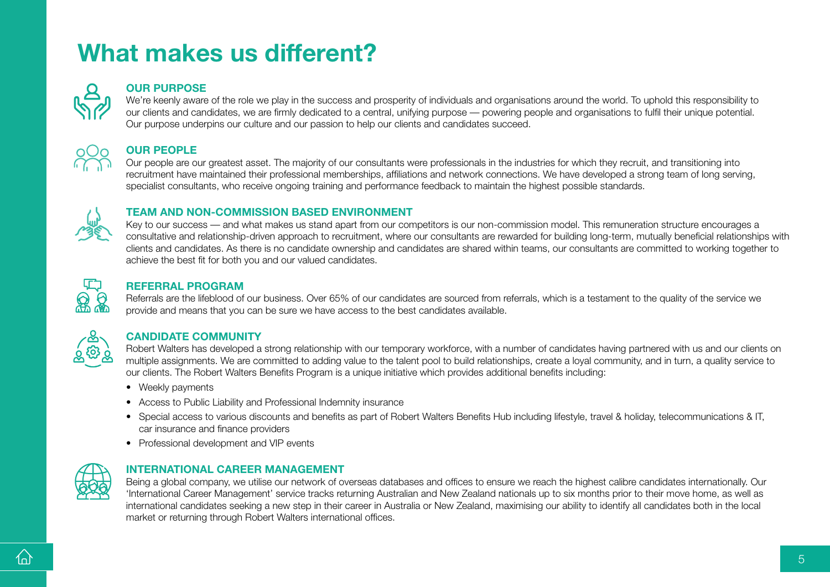## <span id="page-4-0"></span>**What makes us different?**



### **OUR PURPOSE**

We're keenly aware of the role we play in the success and prosperity of individuals and organisations around the world. To uphold this responsibility to our clients and candidates, we are firmly dedicated to a central, unifying purpose — powering people and organisations to fulfil their unique potential. Our purpose underpins our culture and our passion to help our clients and candidates succeed.



### **OUR PEOPLE**

Our people are our greatest asset. The majority of our consultants were professionals in the industries for which they recruit, and transitioning into recruitment have maintained their professional memberships, affiliations and network connections. We have developed a strong team of long serving, specialist consultants, who receive ongoing training and performance feedback to maintain the highest possible standards.



### **TEAM AND NON-COMMISSION BASED ENVIRONMENT**

Key to our success — and what makes us stand apart from our competitors is our non-commission model. This remuneration structure encourages a consultative and relationship-driven approach to recruitment, where our consultants are rewarded for building long-term, mutually beneficial relationships with clients and candidates. As there is no candidate ownership and candidates are shared within teams, our consultants are committed to working together to achieve the best fit for both you and our valued candidates.



### **REFERRAL PROGRAM**

Referrals are the lifeblood of our business. Over 65% of our candidates are sourced from referrals, which is a testament to the quality of the service we provide and means that you can be sure we have access to the best candidates available.



### **CANDIDATE COMMUNITY**

Robert Walters has developed a strong relationship with our temporary workforce, with a number of candidates having partnered with us and our clients on multiple assignments. We are committed to adding value to the talent pool to build relationships, create a loyal community, and in turn, a quality service to our clients. The Robert Walters Benefits Program is a unique initiative which provides additional benefits including:

- Weekly payments
- Access to Public Liability and Professional Indemnity insurance
- Special access to various discounts and benefits as part of Robert Walters Benefits Hub including lifestyle, travel & holiday, telecommunications & IT, car insurance and finance providers
- Professional development and VIP events



### **INTERNATIONAL CAREER MANAGEMENT**

Being a global company, we utilise our network of overseas databases and offices to ensure we reach the highest calibre candidates internationally. Our 'International Career Management' service tracks returning Australian and New Zealand nationals up to six months prior to their move home, as well as international candidates seeking a new step in their career in Australia or New Zealand, maximising our ability to identify all candidates both in the local market or returning through Robert Walters international offices.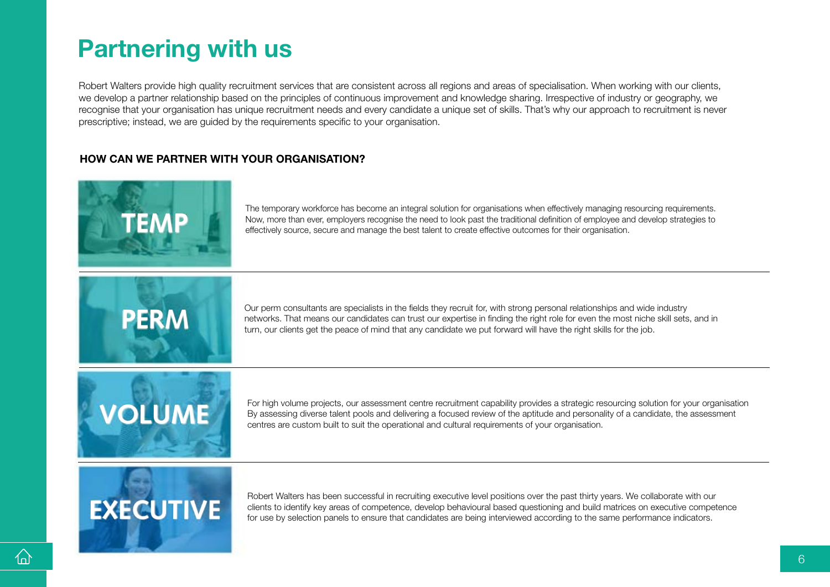## <span id="page-5-0"></span>**Partnering with us**

Robert Walters provide high quality recruitment services that are consistent across all regions and areas of specialisation. When working with our clients, we develop a partner relationship based on the principles of continuous improvement and knowledge sharing. Irrespective of industry or geography, we recognise that your organisation has unique recruitment needs and every candidate a unique set of skills. That's why our approach to recruitment is never prescriptive; instead, we are guided by the requirements specific to your organisation.

### **HOW CAN WE PARTNER WITH YOUR ORGANISATION?**



The temporary workforce has become an integral solution for organisations when effectively managing resourcing requirements. Now, more than ever, employers recognise the need to look past the traditional definition of employee and develop strategies to effectively source, secure and manage the best talent to create effective outcomes for their organisation.



Our perm consultants are specialists in the fields they recruit for, with strong personal relationships and wide industry networks. That means our candidates can trust our expertise in finding the right role for even the most niche skill sets, and in turn, our clients get the peace of mind that any candidate we put forward will have the right skills for the job.



For high volume projects, our assessment centre recruitment capability provides a strategic resourcing solution for your organisation By assessing diverse talent pools and delivering a focused review of the aptitude and personality of a candidate, the assessment centres are custom built to suit the operational and cultural requirements of your organisation.

# **EXECUTIVE**

Robert Walters has been successful in recruiting executive level positions over the past thirty years. We collaborate with our clients to identify key areas of competence, develop behavioural based questioning and build matrices on executive competence for use by selection panels to ensure that candidates are being interviewed according to the same performance indicators.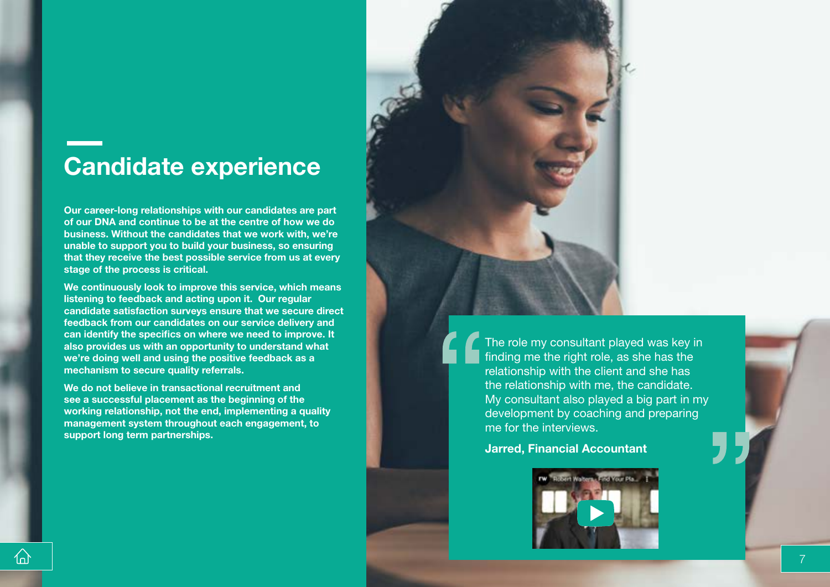## <span id="page-6-0"></span>**Candidate experience**

**Our career-long relationships with our candidates are part of our DNA and continue to be at the centre of how we do business. Without the candidates that we work with, we're unable to support you to build your business, so ensuring that they receive the best possible service from us at every stage of the process is critical.** 

**We continuously look to improve this service, which means listening to feedback and acting upon it. Our regular candidate satisfaction surveys ensure that we secure direct feedback from our candidates on our service delivery and can identify the specifics on where we need to improve. It also provides us with an opportunity to understand what we're doing well and using the positive feedback as a mechanism to secure quality referrals.** 

**We do not believe in transactional recruitment and see a successful placement as the beginning of the working relationship, not the end, implementing a quality management system throughout each engagement, to support long term partnerships.**

The role my consultant played was key in finding me the right role, as she has the relationship with the client and she has the relationship with me, the candidate. My consultant also played a big part in my development by coaching and preparing me for the interviews.

### **Jarred, Financial Accountant**



仙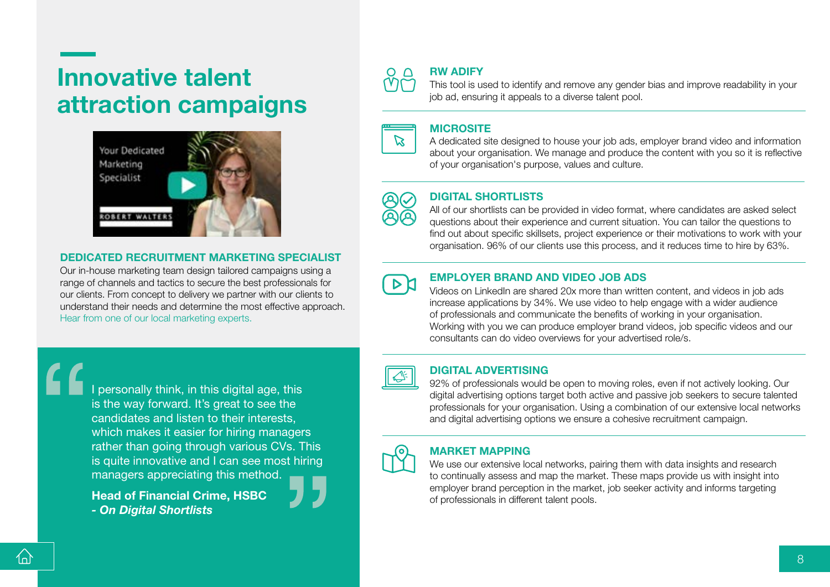## <span id="page-7-0"></span>**Innovative talent attraction campaigns**



### **DEDICATED RECRUITMENT MARKETING SPECIALIST**

Our in-house marketing team design tailored campaigns using a range of channels and tactics to secure the best professionals for our clients. From concept to delivery we partner with our clients to understand their needs and determine the most effective approach. Hear from [one of our local marketing experts.](https://www.youtube.com/watch?v=S7UG5sV-j1w&feature=youtu.be) 

I personally think, in this digital age, this is the way forward. It's great to see the candidates and listen to their interests, which makes it easier for hiring managers rather than going through various CVs. This is quite innovative and I can see most hiring managers appreciating this method.

**Head of Financial Crime, HSBC**  *- On Digital Shortlists*



### **RW ADIFY**

This tool is used to identify and remove any gender bias and improve readability in your job ad, ensuring it appeals to a diverse talent pool.



#### **MICROSITE**

A dedicated site designed to house your job ads, employer brand video and information about your organisation. We manage and produce the content with you so it is reflective of your organisation's purpose, values and culture.



### **DIGITAL SHORTLISTS**

All of our shortlists can be provided in video format, where candidates are asked select questions about their experience and current situation. You can tailor the questions to find out about specific skillsets, project experience or their motivations to work with your organisation. 96% of our clients use this process, and it reduces time to hire by 63%.

### **EMPLOYER BRAND AND VIDEO JOB ADS**

Videos on LinkedIn are shared 20x more than written content, and videos in job ads increase applications by 34%. We use video to help engage with a wider audience of professionals and communicate the benefits of working in your organisation. Working with you we can produce employer brand videos, job specific videos and our consultants can do video overviews for your advertised role/s.

### **DIGITAL ADVERTISING**

92% of professionals would be open to moving roles, even if not actively looking. Our digital advertising options target both active and passive job seekers to secure talented professionals for your organisation. Using a combination of our extensive local networks and digital advertising options we ensure a cohesive recruitment campaign.



### **MARKET MAPPING**

We use our extensive local networks, pairing them with data insights and research to continually assess and map the market. These maps provide us with insight into employer brand perception in the market, job seeker activity and informs targeting of professionals in different talent pools.